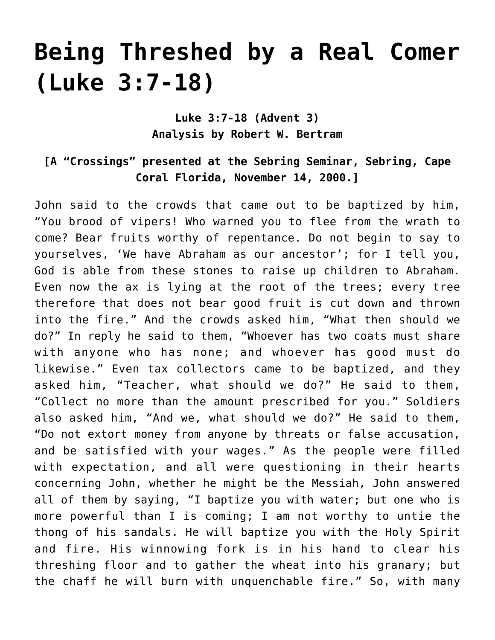# **[Being Threshed by a Real Comer](https://crossings.org/being-threshed/) [\(Luke 3:7-18\)](https://crossings.org/being-threshed/)**

#### **Luke 3:7-18 (Advent 3) Analysis by Robert W. Bertram**

#### **[A "Crossings" presented at the Sebring Seminar, Sebring, Cape Coral Florida, November 14, 2000.]**

John said to the crowds that came out to be baptized by him, "You brood of vipers! Who warned you to flee from the wrath to come? Bear fruits worthy of repentance. Do not begin to say to yourselves, 'We have Abraham as our ancestor'; for I tell you, God is able from these stones to raise up children to Abraham. Even now the ax is lying at the root of the trees; every tree therefore that does not bear good fruit is cut down and thrown into the fire." And the crowds asked him, "What then should we do?" In reply he said to them, "Whoever has two coats must share with anyone who has none; and whoever has good must do likewise." Even tax collectors came to be baptized, and they asked him, "Teacher, what should we do?" He said to them, "Collect no more than the amount prescribed for you." Soldiers also asked him, "And we, what should we do?" He said to them, "Do not extort money from anyone by threats or false accusation, and be satisfied with your wages." As the people were filled with expectation, and all were questioning in their hearts concerning John, whether he might be the Messiah, John answered all of them by saying, "I baptize you with water; but one who is more powerful than I is coming; I am not worthy to untie the thong of his sandals. He will baptize you with the Holy Spirit and fire. His winnowing fork is in his hand to clear his threshing floor and to gather the wheat into his granary; but the chaff he will burn with unquenchable fire." So, with many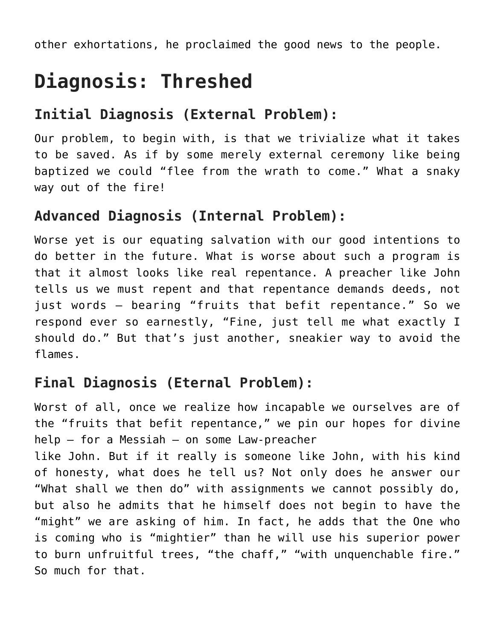other exhortations, he proclaimed the good news to the people.

## **Diagnosis: Threshed**

#### **Initial Diagnosis (External Problem):**

Our problem, to begin with, is that we trivialize what it takes to be saved. As if by some merely external ceremony like being baptized we could "flee from the wrath to come." What a snaky way out of the fire!

#### **Advanced Diagnosis (Internal Problem):**

Worse yet is our equating salvation with our good intentions to do better in the future. What is worse about such a program is that it almost looks like real repentance. A preacher like John tells us we must repent and that repentance demands deeds, not just words — bearing "fruits that befit repentance." So we respond ever so earnestly, "Fine, just tell me what exactly I should do." But that's just another, sneakier way to avoid the flames.

### **Final Diagnosis (Eternal Problem):**

Worst of all, once we realize how incapable we ourselves are of the "fruits that befit repentance," we pin our hopes for divine help — for a Messiah — on some Law-preacher like John. But if it really is someone like John, with his kind of honesty, what does he tell us? Not only does he answer our "What shall we then do" with assignments we cannot possibly do, but also he admits that he himself does not begin to have the "might" we are asking of him. In fact, he adds that the One who is coming who is "mightier" than he will use his superior power to burn unfruitful trees, "the chaff," "with unquenchable fire." So much for that.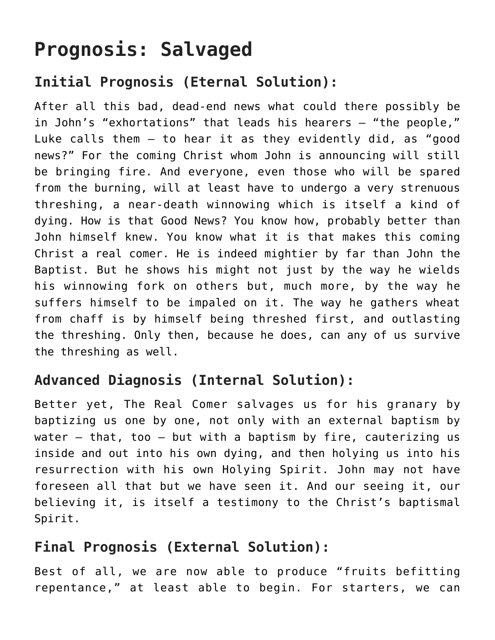## **Prognosis: Salvaged**

### **Initial Prognosis (Eternal Solution):**

After all this bad, dead-end news what could there possibly be in John's "exhortations" that leads his hearers — "the people," Luke calls them — to hear it as they evidently did, as "good news?" For the coming Christ whom John is announcing will still be bringing fire. And everyone, even those who will be spared from the burning, will at least have to undergo a very strenuous threshing, a near-death winnowing which is itself a kind of dying. How is that Good News? You know how, probably better than John himself knew. You know what it is that makes this coming Christ a real comer. He is indeed mightier by far than John the Baptist. But he shows his might not just by the way he wields his winnowing fork on others but, much more, by the way he suffers himself to be impaled on it. The way he gathers wheat from chaff is by himself being threshed first, and outlasting the threshing. Only then, because he does, can any of us survive the threshing as well.

### **Advanced Diagnosis (Internal Solution):**

Better yet, The Real Comer salvages us for his granary by baptizing us one by one, not only with an external baptism by water  $-$  that, too  $-$  but with a baptism by fire, cauterizing us inside and out into his own dying, and then holying us into his resurrection with his own Holying Spirit. John may not have foreseen all that but we have seen it. And our seeing it, our believing it, is itself a testimony to the Christ's baptismal Spirit.

### **Final Prognosis (External Solution):**

Best of all, we are now able to produce "fruits befitting repentance," at least able to begin. For starters, we can